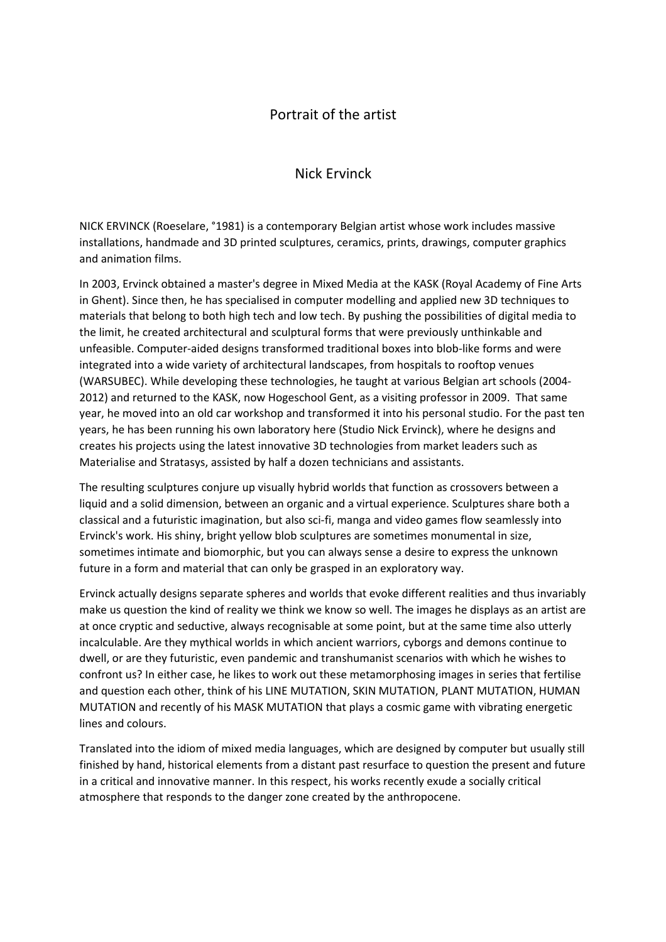## Portrait of the artist

## Nick Ervinck

NICK ERVINCK (Roeselare, °1981) is a contemporary Belgian artist whose work includes massive installations, handmade and 3D printed sculptures, ceramics, prints, drawings, computer graphics and animation films.

In 2003, Ervinck obtained a master's degree in Mixed Media at the KASK (Royal Academy of Fine Arts in Ghent). Since then, he has specialised in computer modelling and applied new 3D techniques to materials that belong to both high tech and low tech. By pushing the possibilities of digital media to the limit, he created architectural and sculptural forms that were previously unthinkable and unfeasible. Computer-aided designs transformed traditional boxes into blob-like forms and were integrated into a wide variety of architectural landscapes, from hospitals to rooftop venues (WARSUBEC). While developing these technologies, he taught at various Belgian art schools (2004- 2012) and returned to the KASK, now Hogeschool Gent, as a visiting professor in 2009. That same year, he moved into an old car workshop and transformed it into his personal studio. For the past ten years, he has been running his own laboratory here (Studio Nick Ervinck), where he designs and creates his projects using the latest innovative 3D technologies from market leaders such as Materialise and Stratasys, assisted by half a dozen technicians and assistants.

The resulting sculptures conjure up visually hybrid worlds that function as crossovers between a liquid and a solid dimension, between an organic and a virtual experience. Sculptures share both a classical and a futuristic imagination, but also sci-fi, manga and video games flow seamlessly into Ervinck's work. His shiny, bright yellow blob sculptures are sometimes monumental in size, sometimes intimate and biomorphic, but you can always sense a desire to express the unknown future in a form and material that can only be grasped in an exploratory way.

Ervinck actually designs separate spheres and worlds that evoke different realities and thus invariably make us question the kind of reality we think we know so well. The images he displays as an artist are at once cryptic and seductive, always recognisable at some point, but at the same time also utterly incalculable. Are they mythical worlds in which ancient warriors, cyborgs and demons continue to dwell, or are they futuristic, even pandemic and transhumanist scenarios with which he wishes to confront us? In either case, he likes to work out these metamorphosing images in series that fertilise and question each other, think of his LINE MUTATION, SKIN MUTATION, PLANT MUTATION, HUMAN MUTATION and recently of his MASK MUTATION that plays a cosmic game with vibrating energetic lines and colours.

Translated into the idiom of mixed media languages, which are designed by computer but usually still finished by hand, historical elements from a distant past resurface to question the present and future in a critical and innovative manner. In this respect, his works recently exude a socially critical atmosphere that responds to the danger zone created by the anthropocene.